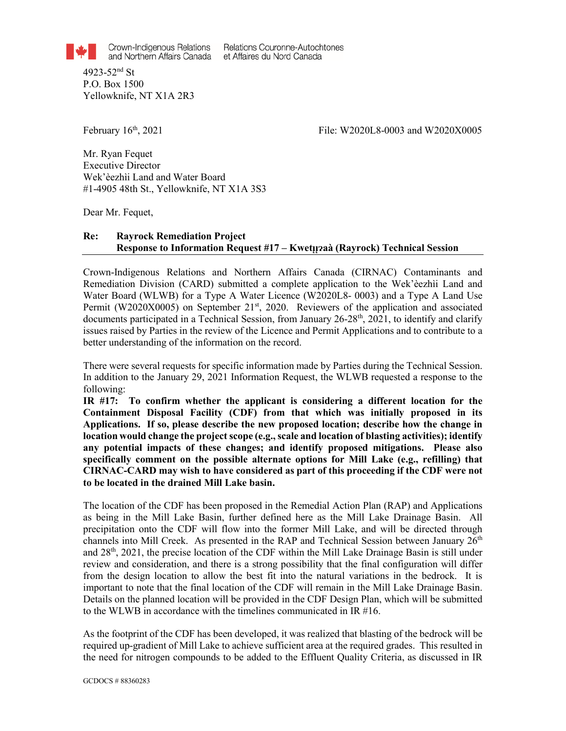Crown-Indigenous Relations and Northern Affairs Canada

Relations Couronne-Autochtones et Affaires du Nord Canada

4923-52nd St P.O. Box 1500 Yellowknife, NT X1A 2R3

File: W2020L8-0003 and W2020X0005 File: W2020L8-0003 and W2020X0005

Mr. Ryan Fequet Executive Director Wek'èezhìi Land and Water Board #1-4905 48th St., Yellowknife, NT X1A 3S3

Dear Mr. Fequet,

## **Re: Rayrock Remediation Project Response to Information Request #17 – Kwetµ?aà (Rayrock) Technical Session**

Crown-Indigenous Relations and Northern Affairs Canada (CIRNAC) Contaminants and Remediation Division (CARD) submitted a complete application to the Wek'èezhìi Land and Water Board (WLWB) for a Type A Water Licence (W2020L8- 0003) and a Type A Land Use Permit (W2020X0005) on September 21<sup>st</sup>, 2020. Reviewers of the application and associated documents participated in a Technical Session, from January  $26-28$ <sup>th</sup>,  $2021$ , to identify and clarify issues raised by Parties in the review of the Licence and Permit Applications and to contribute to a better understanding of the information on the record.

There were several requests for specific information made by Parties during the Technical Session. In addition to the January 29, 2021 Information Request, the WLWB requested a response to the following:

**IR #17: To confirm whether the applicant is considering a different location for the Containment Disposal Facility (CDF) from that which was initially proposed in its Applications. If so, please describe the new proposed location; describe how the change in location would change the project scope (e.g., scale and location of blasting activities); identify any potential impacts of these changes; and identify proposed mitigations. Please also specifically comment on the possible alternate options for Mill Lake (e.g., refilling) that CIRNAC-CARD may wish to have considered as part of this proceeding if the CDF were not to be located in the drained Mill Lake basin.**

The location of the CDF has been proposed in the Remedial Action Plan (RAP) and Applications as being in the Mill Lake Basin, further defined here as the Mill Lake Drainage Basin. All precipitation onto the CDF will flow into the former Mill Lake, and will be directed through channels into Mill Creek. As presented in the RAP and Technical Session between January 26<sup>th</sup> and 28th, 2021, the precise location of the CDF within the Mill Lake Drainage Basin is still under review and consideration, and there is a strong possibility that the final configuration will differ from the design location to allow the best fit into the natural variations in the bedrock. It is important to note that the final location of the CDF will remain in the Mill Lake Drainage Basin. Details on the planned location will be provided in the CDF Design Plan, which will be submitted to the WLWB in accordance with the timelines communicated in IR #16.

As the footprint of the CDF has been developed, it was realized that blasting of the bedrock will be required up-gradient of Mill Lake to achieve sufficient area at the required grades. This resulted in the need for nitrogen compounds to be added to the Effluent Quality Criteria, as discussed in IR